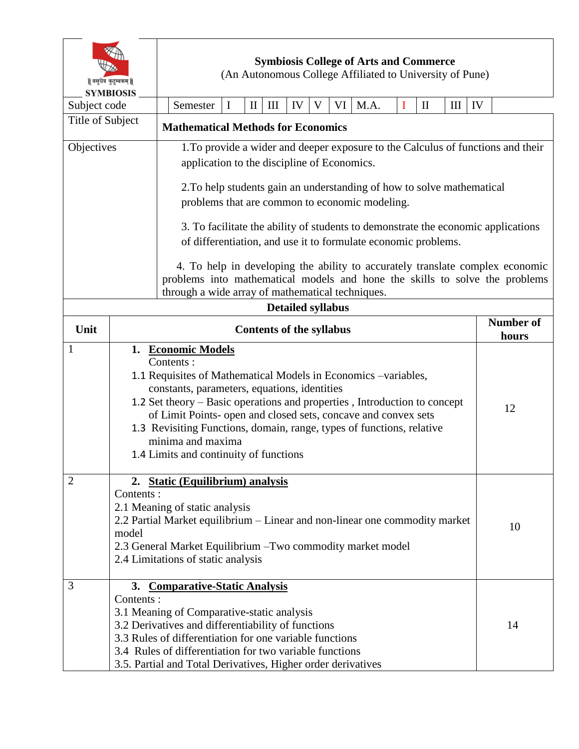| वसुधैव कुटुम्बकम्   <br><b>SYMBIOSIS</b> |                                                                                                                                                                                                                                                                                                                                                                                                                                          | <b>Symbiosis College of Arts and Commerce</b><br>(An Autonomous College Affiliated to University of Pune)                                           |                                                                                                                                                                                                                  |   |              |     |                          |   |  |                           |             |              |   |    |  |
|------------------------------------------|------------------------------------------------------------------------------------------------------------------------------------------------------------------------------------------------------------------------------------------------------------------------------------------------------------------------------------------------------------------------------------------------------------------------------------------|-----------------------------------------------------------------------------------------------------------------------------------------------------|------------------------------------------------------------------------------------------------------------------------------------------------------------------------------------------------------------------|---|--------------|-----|--------------------------|---|--|---------------------------|-------------|--------------|---|----|--|
| Subject code                             |                                                                                                                                                                                                                                                                                                                                                                                                                                          |                                                                                                                                                     | Semester                                                                                                                                                                                                         | Ι | $\mathbf{I}$ | III | IV                       | V |  | VI   M.A.                 | $\mathbf I$ | $\mathbf{I}$ | Ш | IV |  |
| Title of Subject                         |                                                                                                                                                                                                                                                                                                                                                                                                                                          | <b>Mathematical Methods for Economics</b>                                                                                                           |                                                                                                                                                                                                                  |   |              |     |                          |   |  |                           |             |              |   |    |  |
| Objectives                               |                                                                                                                                                                                                                                                                                                                                                                                                                                          | 1. To provide a wider and deeper exposure to the Calculus of functions and their<br>application to the discipline of Economics.                     |                                                                                                                                                                                                                  |   |              |     |                          |   |  |                           |             |              |   |    |  |
|                                          |                                                                                                                                                                                                                                                                                                                                                                                                                                          | 2. To help students gain an understanding of how to solve mathematical<br>problems that are common to economic modeling.                            |                                                                                                                                                                                                                  |   |              |     |                          |   |  |                           |             |              |   |    |  |
|                                          |                                                                                                                                                                                                                                                                                                                                                                                                                                          | 3. To facilitate the ability of students to demonstrate the economic applications<br>of differentiation, and use it to formulate economic problems. |                                                                                                                                                                                                                  |   |              |     |                          |   |  |                           |             |              |   |    |  |
|                                          |                                                                                                                                                                                                                                                                                                                                                                                                                                          |                                                                                                                                                     | 4. To help in developing the ability to accurately translate complex economic<br>problems into mathematical models and hone the skills to solve the problems<br>through a wide array of mathematical techniques. |   |              |     |                          |   |  |                           |             |              |   |    |  |
|                                          |                                                                                                                                                                                                                                                                                                                                                                                                                                          |                                                                                                                                                     |                                                                                                                                                                                                                  |   |              |     | <b>Detailed syllabus</b> |   |  |                           |             |              |   |    |  |
| Unit                                     | <b>Contents of the syllabus</b>                                                                                                                                                                                                                                                                                                                                                                                                          |                                                                                                                                                     |                                                                                                                                                                                                                  |   |              |     |                          |   |  | <b>Number of</b><br>hours |             |              |   |    |  |
| 1                                        | 1. Economic Models<br>Contents:<br>1.1 Requisites of Mathematical Models in Economics -variables,<br>constants, parameters, equations, identities<br>1.2 Set theory – Basic operations and properties, Introduction to concept<br>of Limit Points- open and closed sets, concave and convex sets<br>1.3 Revisiting Functions, domain, range, types of functions, relative<br>minima and maxima<br>1.4 Limits and continuity of functions |                                                                                                                                                     |                                                                                                                                                                                                                  |   |              |     |                          |   |  |                           | 12          |              |   |    |  |
| $\overline{2}$                           | 2. Static (Equilibrium) analysis<br>Contents:<br>2.1 Meaning of static analysis<br>2.2 Partial Market equilibrium - Linear and non-linear one commodity market<br>model<br>2.3 General Market Equilibrium - Two commodity market model<br>2.4 Limitations of static analysis                                                                                                                                                             |                                                                                                                                                     |                                                                                                                                                                                                                  |   |              |     |                          |   |  |                           | 10          |              |   |    |  |
| 3                                        | 3. Comparative-Static Analysis<br>Contents:<br>3.1 Meaning of Comparative-static analysis<br>3.2 Derivatives and differentiability of functions<br>3.3 Rules of differentiation for one variable functions<br>3.4 Rules of differentiation for two variable functions<br>3.5. Partial and Total Derivatives, Higher order derivatives                                                                                                    |                                                                                                                                                     |                                                                                                                                                                                                                  |   |              |     |                          |   |  |                           | 14          |              |   |    |  |